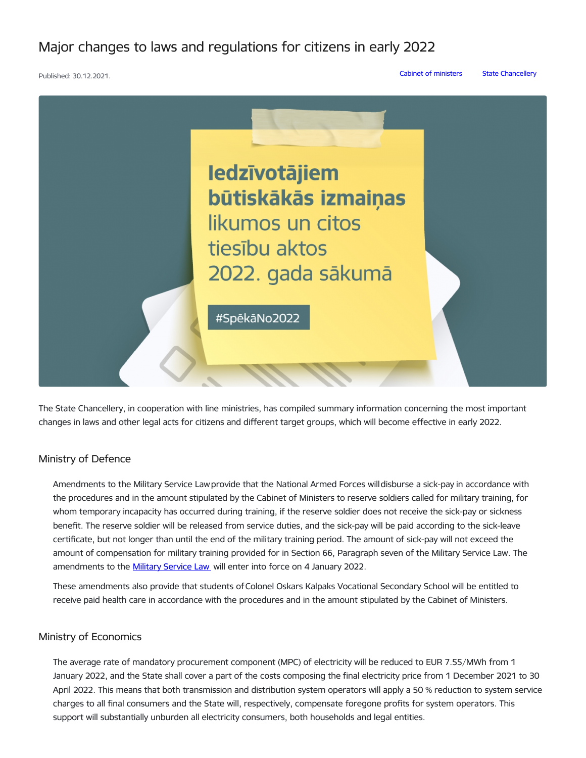Major changes to laws and regulations for citizens in early 2022

```
Published: 30.12.2021. Cabinet of ministers State Chancellery
```


The State Chancellery, in cooperation with line ministries, has compiled summary information concerning the most important changes in laws and other legal acts for citizens and different target groups, which will become effective in early 2022.

## Ministry of Defence

Amendments to the Military Service Lawprovide that the National Armed Forces willdisburse a sick-pay in accordance with the procedures and in the amount stipulated by the Cabinet of Ministers to reserve soldiers called for military training, for whom temporary incapacity has occurred during training, if the reserve soldier does not receive the sick-pay or sickness benefit. The reserve soldier will be released from service duties, and the sick-pay will be paid according to the sick-leave certificate, but not longer than until the end of the military training period. The amount of sick-pay will not exceed the amount of compensation for military training provided for in Section 66, Paragraph seven of the Military Service Law. The amendments to the **[Military](https://www.vestnesis.lv/op/2021/246.5) Service Law** will enter into force on 4 January 2022.

These amendments also provide that students ofColonel Oskars Kalpaks Vocational Secondary School will be entitled to receive paid health care in accordance with the procedures and in the amount stipulated by the Cabinet of Ministers.

#### Ministry of Economics

The average rate of mandatory procurement component (MPC) of electricity will be reduced to EUR 7.55/MWh from 1 January 2022, and the State shall cover a part of the costs composing the final electricity price from 1 December 2021 to 30 April 2022. This means that both transmission and distribution system operators will apply a 50 % reduction to system service charges to all final consumers and the State will, respectively, compensate foregone profits for system operators. This support will substantially unburden all electricity consumers, both households and legal entities.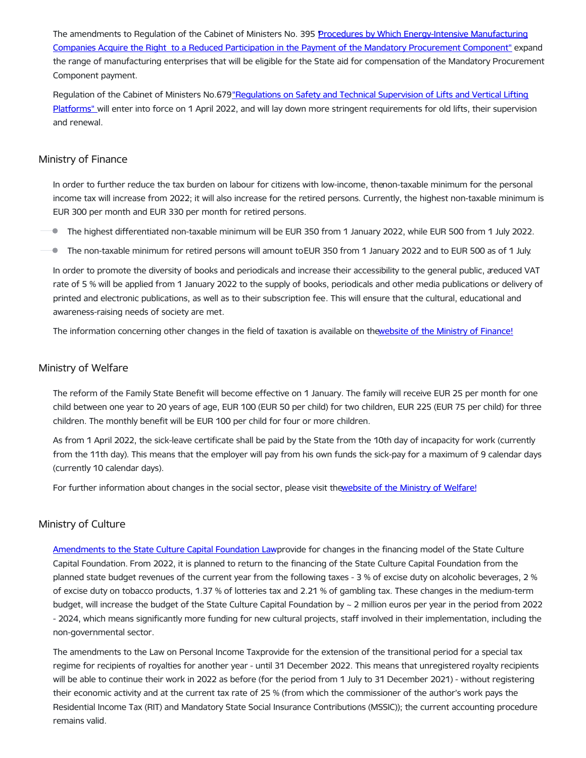The amendments to Regulation of the Cabinet of Ministers No. 395 Procedures by Which [Energy-Intensive](https://likumi.lv/ta/id/328532-grozijums-ministru-kabineta-2015-gada-14-julija-noteikumos-nr-395-kartiba-kada-energoietilpigi-apstrades-rupniecibas-uznemumi-i...) Manufacturing Companies Acquire the Right to a Reduced Participation in the Payment of the Mandatory Procurement Component" expand the range of manufacturing enterprises that will be eligible for the State aid for compensation of the Mandatory Procurement Component payment.

Regulation of the Cabinet of Ministers [No.679"Regulations](https://www.mk.gov.lv/likumi.lv/ta/id/318839-liftu-un-vertikalo-celejplatformu-drosibas-un-tehniskas-uzraudzibas-noteikumi) on Safety and Technical Supervision of Lifts and Vertical Lifting Platforms" will enter into force on 1 April 2022, and will lay down more stringent requirements for old lifts, their supervision and renewal.

#### Ministry of Finance

In order to further reduce the tax burden on labour for citizens with low-income, thenon-taxable minimum for the personal income tax will increase from 2022; it will also increase for the retired persons. Currently, the highest non-taxable minimum is EUR 300 per month and EUR 330 per month for retired persons.

The highest differentiated non-taxable minimum will be EUR 350 from 1 January 2022, while EUR 500 from 1 July 2022.

 $\bullet$ The non-taxable minimum for retired persons will amount toEUR 350 from 1 January 2022 and to EUR 500 as of 1 July.

In order to promote the diversity of books and periodicals and increase their accessibility to the general public, areduced VAT rate of 5 % will be applied from 1 January 2022 to the supply of books, periodicals and other media publications or delivery of printed and electronic publications, as well as to their subscription fee. This will ensure that the cultural, educational and awareness-raising needs of society are met.

The information concerning other changes in the field of taxation is available on thewebsite of the Ministry of [Finance!](https://www.fm.gov.lv/lv/izmainas-nodoklu-joma-sakot-ar-2022gadu)

#### Ministry of Welfare

The reform of the Family State Benefit will become effective on 1 January. The family will receive EUR 25 per month for one child between one year to 20 years of age, EUR 100 (EUR 50 per child) for two children, EUR 225 (EUR 75 per child) for three children. The monthly benefit will be EUR 100 per child for four or more children.

As from 1 April 2022, the sick-leave certificate shall be paid by the State from the 10th day of incapacity for work (currently from the 11th day). This means that the employer will pay from his own funds the sick-pay for a maximum of 9 calendar days (currently 10 calendar days).

For further information about changes in the social sector, please visit thewebsite of the Ministry of [Welfare!](https://www.lm.gov.lv/lv/jaunums/izmainas-socialaja-joma-2022-gada)

## Ministry of Culture

[Amendments](https://likumi.lv/ta/id/301950-grozijums-valsts-kulturkapitala-fonda-likuma) to the State Culture Capital Foundation Lawprovide for changes in the financing model of the State Culture Capital Foundation. From 2022, it is planned to return to the financing of the State Culture Capital Foundation from the planned state budget revenues of the current year from the following taxes - 3 % of excise duty on alcoholic beverages, 2 % of excise duty on tobacco products, 1.37 % of lotteries tax and 2.21 % of gambling tax. These changes in the medium-term budget, will increase the budget of the State Culture Capital Foundation by ~ 2 million euros per year in the period from 2022 - 2024, which means significantly more funding for new cultural projects, staff involved in their implementation, including the non-governmental sector.

The amendments to the Law on Personal Income Taxprovide for the extension of the transitional period for a special tax regime for recipients of royalties for another year - until 31 December 2022. This means that unregistered royalty recipients will be able to continue their work in 2022 as before (for the period from 1 July to 31 December 2021) - without registering their economic activity and at the current tax rate of 25 % (from which the commissioner of the author's work pays the Residential Income Tax (RIT) and Mandatory State Social Insurance Contributions (MSSIC)); the current accounting procedure remains valid.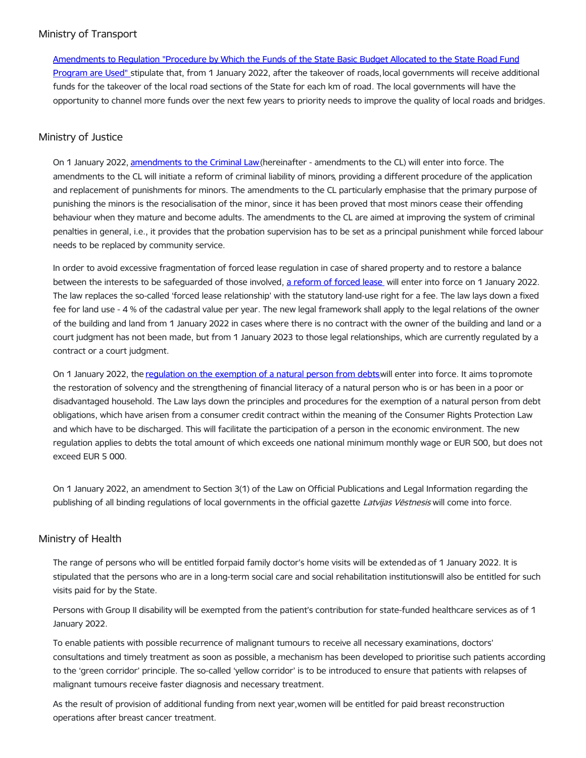# Ministry of Transport

[Amendments](https://likumi.lv/ta/id/328540-grozijumi-ministru-kabineta-2008-gada-11-marta-noteikumos-nr-173-valsts-pamatbudzeta-valsts-autocelu-fonda-programmai-pieskirto...) to Regulation "Procedure by Which the Funds of the State Basic Budget Allocated to the State Road Fund Program are Used" stipulate that, from 1 January 2022, after the takeover of roads,local governments will receive additional funds for the takeover of the local road sections of the State for each km of road. The local governments will have the opportunity to channel more funds over the next few years to priority needs to improve the quality of local roads and bridges.

# Ministry of Justice

On 1 January 2022, [amendments](https://likumi.lv/ta/id/319860-grozijumi-kriminallikuma) to the Criminal Law (hereinafter - amendments to the CL) will enter into force. The amendments to the CL will initiate a reform of criminal liability of minors, providing a different procedure of the application and replacement of punishments for minors. The amendments to the CL particularly emphasise that the primary purpose of punishing the minors is the resocialisation of the minor, since it has been proved that most minors cease their offending behaviour when they mature and become adults. The amendments to the CL are aimed at improving the system of criminal penalties in general, i.e., it provides that the probation supervision has to be set as a principal punishment while forced labour needs to be replaced by community service.

In order to avoid excessive fragmentation of forced lease regulation in case of shared property and to restore a balance between the interests to be safeguarded of those involved, a [reform](https://www.tm.gov.lv/lv/jaunums/tm-2022-gada-1-janvari-saksies-piespiedu-nomas-reforma-zemes-lietosanas-tiesibas-regules-likums) of forced lease will enter into force on 1 January 2022. The law replaces the so-called 'forced lease relationship' with the statutory land-use right for a fee. The law lays down a fixed fee for land use - 4 % of the cadastral value per year. The new legal framework shall apply to the legal relations of the owner of the building and land from 1 January 2022 in cases where there is no contract with the owner of the building and land or a court judgment has not been made, but from 1 January 2023 to those legal relationships, which are currently regulated by a contract or a court judgment.

On 1 January 2022, the regulation on the [exemption](https://likumi.lv/ta/id/324276-fiziskas-personas-atbrivosanas-no-paradsaistibam-likums) of a natural person from debts will enter into force. It aims to promote the restoration of solvency and the strengthening of financial literacy of a natural person who is or has been in a poor or disadvantaged household. The Law lays down the principles and procedures for the exemption of a natural person from debt obligations, which have arisen from a consumer credit contract within the meaning of the Consumer Rights Protection Law and which have to be discharged. This will facilitate the participation of a person in the economic environment. The new regulation applies to debts the total amount of which exceeds one national minimum monthly wage or EUR 500, but does not exceed EUR 5 000.

On 1 January 2022, an amendment to Section 3(1) of the Law on Official Publications and Legal Information regarding the publishing of all binding regulations of local governments in the official gazette Latvijas Vēstnesis will come into force.

## Ministry of Health

The range of persons who will be entitled forpaid family doctor's home visits will be extended as of 1 January 2022. It is stipulated that the persons who are in a long-term social care and social rehabilitation institutionswill also be entitled for such visits paid for by the State.

Persons with Group II disability will be exempted from the patient's contribution for state-funded healthcare services as of 1 January 2022.

To enable patients with possible recurrence of malignant tumours to receive all necessary examinations, doctors' consultations and timely treatment as soon as possible, a mechanism has been developed to prioritise such patients according to the 'green corridor' principle. The so-called 'yellow corridor' is to be introduced to ensure that patients with relapses of malignant tumours receive faster diagnosis and necessary treatment.

As the result of provision of additional funding from next year,women will be entitled for paid breast reconstruction operations after breast cancer treatment.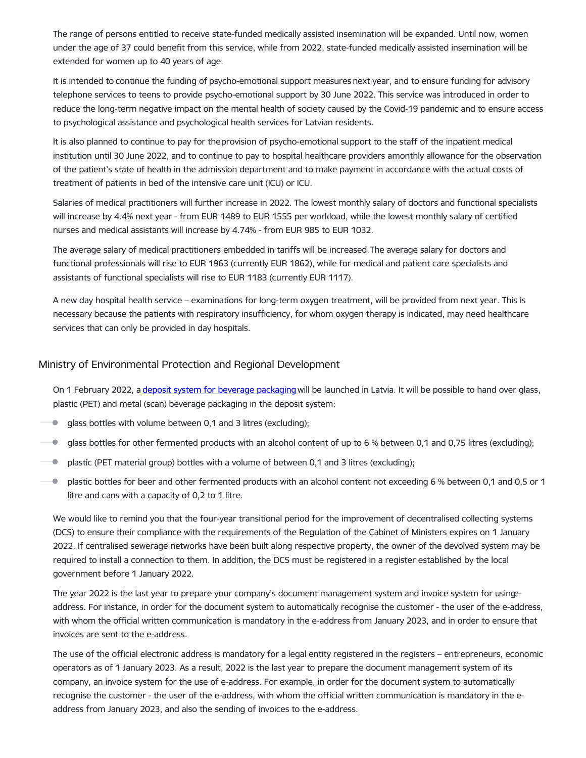The range of persons entitled to receive state-funded medically assisted insemination will be expanded. Until now, women under the age of 37 could benefit from this service, while from 2022, state-funded medically assisted insemination will be extended for women up to 40 years of age.

It is intended to continue the funding of psycho-emotional support measures next year, and to ensure funding for advisory telephone services to teens to provide psycho-emotional support by 30 June 2022. This service was introduced in order to reduce the long-term negative impact on the mental health of society caused by the Covid-19 pandemic and to ensure access to psychological assistance and psychological health services for Latvian residents.

It is also planned to continue to pay for theprovision of psycho-emotional support to the staff of the inpatient medical institution until 30 June 2022, and to continue to pay to hospital healthcare providers amonthly allowance for the observation of the patient's state of health in the admission department and to make payment in accordance with the actual costs of treatment of patients in bed of the intensive care unit (ICU) or ICU.

Salaries of medical practitioners will further increase in 2022. The lowest monthly salary of doctors and functional specialists will increase by 4.4% next year - from EUR 1489 to EUR 1555 per workload, while the lowest monthly salary of certified nurses and medical assistants will increase by 4.74% - from EUR 985 to EUR 1032.

The average salary of medical practitioners embedded in tariffs will be increased.The average salary for doctors and functional professionals will rise to EUR 1963 (currently EUR 1862), while for medical and patient care specialists and assistants of functional specialists will rise to EUR 1183 (currently EUR 1117).

A new day hospital health service – examinations for long-term oxygen treatment, will be provided from next year. This is necessary because the patients with respiratory insufficiency, for whom oxygen therapy is indicated, may need healthcare services that can only be provided in day hospitals.

#### Ministry of Environmental Protection and Regional Development

On 1 February 2022, a deposit system for beverage [packaging](https://www.vvd.gov.lv/lv/depozita-sistema?utm_source=https%253A%252F%252Fwww.google.com%252F) will be launched in Latvia. It will be possible to hand over glass, plastic (PET) and metal (scan) beverage packaging in the deposit system:

 $\bullet$ glass bottles with volume between 0,1 and 3 litres (excluding);

- **g** glass bottles for other fermented products with an alcohol content of up to 6 % between 0,1 and 0,75 litres (excluding);
- $\blacksquare$  plastic (PET material group) bottles with a volume of between 0,1 and 3 litres (excluding);
- $\blacksquare$  plastic bottles for beer and other fermented products with an alcohol content not exceeding 6 % between 0,1 and 0,5 or 1 litre and cans with a capacity of 0,2 to 1 litre.

We would like to remind you that the four-year transitional period for the improvement of decentralised collecting systems (DCS) to ensure their compliance with the requirements of the Regulation of the Cabinet of Ministers expires on 1 January 2022. If centralised sewerage networks have been built along respective property, the owner of the devolved system may be required to install a connection to them. In addition, the DCS must be registered in a register established by the local government before 1 January 2022.

The year 2022 is the last year to prepare your company's document management system and invoice system for usingeaddress. For instance, in order for the document system to automatically recognise the customer - the user of the e-address, with whom the official written communication is mandatory in the e-address from January 2023, and in order to ensure that invoices are sent to the e-address.

The use of the official electronic address is mandatory for a legal entity registered in the registers – entrepreneurs, economic operators as of 1 January 2023. As a result, 2022 is the last year to prepare the document management system of its company, an invoice system for the use of e-address. For example, in order for the document system to automatically recognise the customer - the user of the e-address, with whom the official written communication is mandatory in the eaddress from January 2023, and also the sending of invoices to the e-address.